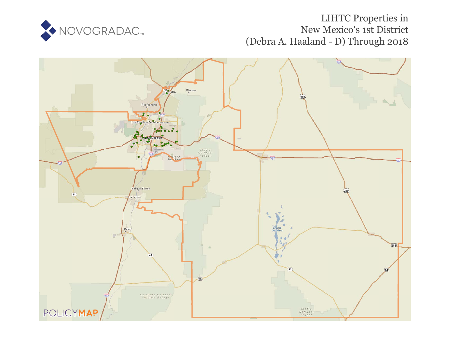

# LIHTC Properties in New Mexico's 1st District (Debra A. Haaland - D) Through 2018

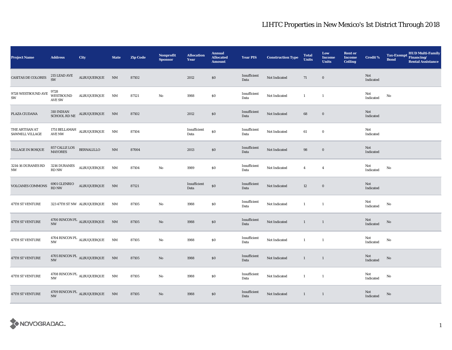| <b>Project Name</b>                            | <b>Address</b>                            | City                                                    | <b>State</b>           | <b>Zip Code</b> | <b>Nonprofit</b><br><b>Sponsor</b> | <b>Allocation</b><br>Year | <b>Annual</b><br><b>Allocated</b><br><b>Amount</b> | <b>Year PIS</b>      | <b>Construction Type</b> | <b>Total</b><br><b>Units</b> | Low<br><b>Income</b><br><b>Units</b> | <b>Rent or</b><br><b>Income</b><br><b>Ceiling</b> | <b>Credit %</b>  | <b>HUD Multi-Family</b><br><b>Tax-Exempt</b><br>Financing/<br><b>Bond</b><br><b>Rental Assistance</b> |
|------------------------------------------------|-------------------------------------------|---------------------------------------------------------|------------------------|-----------------|------------------------------------|---------------------------|----------------------------------------------------|----------------------|--------------------------|------------------------------|--------------------------------------|---------------------------------------------------|------------------|-------------------------------------------------------------------------------------------------------|
| CASITAS DE COLORES                             | $215$ LEAD AVE $\,$<br><b>SW</b>          | ALBUQUERQUE                                             | N <sub>M</sub>         | 87102           |                                    | 2012                      | \$0                                                | Insufficient<br>Data | Not Indicated            | 71                           | $\bf{0}$                             |                                                   | Not<br>Indicated |                                                                                                       |
| 9728 WESTBOUND AVE<br>SW                       | 9728<br><b>WESTBOUND</b><br><b>AVE SW</b> | ALBUQUERQUE                                             | NM                     | 87121           | $\rm No$                           | 1988                      | \$0\$                                              | Insufficient<br>Data | Not Indicated            | $\mathbf{1}$                 | $\overline{1}$                       |                                                   | Not<br>Indicated | No                                                                                                    |
| PLAZA CIUDANA                                  |                                           | $310$ INDIAN $$\hbox{\sc nub}$ ALBUQUERQUE SCHOOL RD NE | N <sub>M</sub>         | 87102           |                                    | 2012                      | $\$0$                                              | Insufficient<br>Data | Not Indicated            | 68                           | $\boldsymbol{0}$                     |                                                   | Not<br>Indicated |                                                                                                       |
| THE ARTISAN AT<br>SAWMILL VILLAGE              | <b>AVE NW</b>                             | 1751 BELLAMAH ALBUQUERQUE                               | $\rm{NM}$              | 87104           |                                    | Insufficient<br>Data      | $\$0$                                              | Insufficient<br>Data | Not Indicated            | 61                           | $\bf{0}$                             |                                                   | Not<br>Indicated |                                                                                                       |
| VILLAGE IN BOSQUE                              | 857 CALLE LOS<br>MAYORES                  | <b>BERNALILLO</b>                                       | $\mathbf{N}\mathbf{M}$ | 87004           |                                    | 2013                      | $\$0$                                              | Insufficient<br>Data | Not Indicated            | 98                           | $\boldsymbol{0}$                     |                                                   | Not<br>Indicated |                                                                                                       |
| 3214-16 DURANES RD<br>$\ensuremath{\text{NW}}$ | $3216$ DURANES<br>RD NW                   | $\texttt{ALBUQUERQUE}$                                  | $\rm{NM}$              | 87104           | $\rm No$                           | 1989                      | \$0\$                                              | Insufficient<br>Data | Not Indicated            | $\overline{4}$               | $\overline{4}$                       |                                                   | Not<br>Indicated | No                                                                                                    |
| <b>VOLCANES COMMONS</b>                        | 6901 GLENRIO<br>RD NW                     | ALBUQUERQUE                                             | NM                     | 87121           |                                    | Insufficient<br>Data      | $\$0$                                              | Insufficient<br>Data | Not Indicated            | 12                           | $\bf{0}$                             |                                                   | Not<br>Indicated |                                                                                                       |
| 47TH ST VENTURE                                |                                           | 323 47TH ST NW ALBUQUERQUE                              | NM                     | 87105           | $\rm No$                           | 1988                      | \$0\$                                              | Insufficient<br>Data | Not Indicated            | $\mathbf{1}$                 | $\mathbf{1}$                         |                                                   | Not<br>Indicated | No                                                                                                    |
| <b>47TH ST VENTURE</b>                         | $\ensuremath{\text{NW}}$                  | 4700 RINCON PL ALBUQUERQUE                              | $\mathbf{N}\mathbf{M}$ | 87105           | $\mathbf{No}$                      | 1988                      | $\$0$                                              | Insufficient<br>Data | Not Indicated            | $\mathbf{1}$                 | $\mathbf{1}$                         |                                                   | Not<br>Indicated | $\rm No$                                                                                              |
| 47TH ST VENTURE                                | <b>NW</b>                                 | $4704$ RINCON PL $\,$ ALBUQUERQUE                       | NM                     | 87105           | $\rm No$                           | 1988                      | \$0\$                                              | Insufficient<br>Data | Not Indicated            | $\mathbf{1}$                 | $\mathbf{1}$                         |                                                   | Not<br>Indicated | No                                                                                                    |
| 47TH ST VENTURE                                | $\ensuremath{\text{NW}}$                  | 4705 RINCON PL $\,$ ALBUQUERQUE                         | N <sub>M</sub>         | 87105           | No                                 | 1988                      | \$0                                                | Insufficient<br>Data | Not Indicated            | $\mathbf{1}$                 | $\mathbf{1}$                         |                                                   | Not<br>Indicated | No                                                                                                    |
| 47TH ST VENTURE                                | <b>NW</b>                                 | 4708 RINCON PL $\,$ ALBUQUERQUE                         | NM                     | 87105           | No                                 | 1988                      | $\$0$                                              | Insufficient<br>Data | Not Indicated            | $\mathbf{1}$                 | $\mathbf{1}$                         |                                                   | Not<br>Indicated | No                                                                                                    |
| 47TH ST VENTURE                                | $\ensuremath{\text{NW}}$                  | 4709 RINCON PL ALBUQUERQUE NM                           |                        | 87105           | $\mathbf{N}\mathbf{o}$             | 1988                      | \$0                                                | Insufficient<br>Data | Not Indicated            | $\mathbf{1}$                 | $\mathbf{1}$                         |                                                   | Not<br>Indicated | $\rm No$                                                                                              |

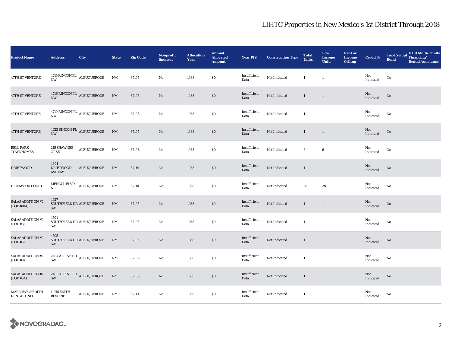| <b>Project Name</b>                       | <b>Address</b>                     | City                              | <b>State</b>           | <b>Zip Code</b> | <b>Nonprofit</b><br><b>Sponsor</b> | <b>Allocation</b><br>Year | <b>Annual</b><br><b>Allocated</b><br><b>Amount</b> | <b>Year PIS</b>      | <b>Construction Type</b> | <b>Total</b><br><b>Units</b> | Low<br><b>Income</b><br><b>Units</b> | <b>Rent or</b><br><b>Income</b><br><b>Ceiling</b> | <b>Credit %</b>  | <b>HUD Multi-Family</b><br><b>Tax-Exempt</b><br>Financing/<br><b>Bond</b><br><b>Rental Assistance</b> |
|-------------------------------------------|------------------------------------|-----------------------------------|------------------------|-----------------|------------------------------------|---------------------------|----------------------------------------------------|----------------------|--------------------------|------------------------------|--------------------------------------|---------------------------------------------------|------------------|-------------------------------------------------------------------------------------------------------|
| 47TH ST VENTURE                           | <b>NW</b>                          | 4715 RINCON PL $\,$ ALBUQUERQUE   | NM                     | 87105           | No                                 | 1988                      | \$0\$                                              | Insufficient<br>Data | Not Indicated            | $\mathbf{1}$                 | $\overline{1}$                       |                                                   | Not<br>Indicated | No                                                                                                    |
| 47TH ST VENTURE                           | <b>NW</b>                          | 4716 RINCON PL ALBUQUERQUE        | N <sub>M</sub>         | 87105           | No                                 | 1988                      | $\$0$                                              | Insufficient<br>Data | Not Indicated            | $\mathbf{1}$                 | $\overline{1}$                       |                                                   | Not<br>Indicated | No                                                                                                    |
| 47TH ST VENTURE                           | <b>NW</b>                          | 4719 RINCON PL $\,$ ALBUQUERQUE   | NM                     | 87105           | No                                 | 1988                      | $\$0$                                              | Insufficient<br>Data | Not Indicated            | $\mathbf{1}$                 | $\mathbf{1}$                         |                                                   | Not<br>Indicated | $\mathbf{N}\mathbf{o}$                                                                                |
| 47TH ST VENTURE                           | $\mathbf{N}\mathbf{W}$             | 4723 RINCON PL ALBUQUERQUE        | $\mathbf{N}\mathbf{M}$ | 87105           | $\mathbf{No}$                      | 1988                      | \$0                                                | Insufficient<br>Data | Not Indicated            | $\mathbf{1}$                 | $\overline{1}$                       |                                                   | Not<br>Indicated | $\rm No$                                                                                              |
| <b>BELL PARK</b><br><b>TOWNHOMES</b>      | 215 SHAWNEE<br>CT SE               | ALBUQUERQUE                       | NM                     | 87108           | No                                 | 1988                      | $\$0$                                              | Insufficient<br>Data | Not Indicated            | 6                            | $\bf 6$                              |                                                   | Not<br>Indicated | No                                                                                                    |
| <b>DRIFTWOOD</b>                          | 4601<br><b>DRIFTWOOD</b><br>AVE NW | ALBUQUERQUE                       | NM                     | 87114           | No                                 | 1988                      | $\$0$                                              | Insufficient<br>Data | Not Indicated            | $\mathbf{1}$                 | $\mathbf{1}$                         |                                                   | Not<br>Indicated | $\rm No$                                                                                              |
| <b>IRONWOOD COURT</b>                     | MENAUL BLVD<br>NE                  | ALBUQUERQUE                       | NM                     | 87110           | No                                 | 1988                      | \$0\$                                              | Insufficient<br>Data | Not Indicated            | 28                           | 28                                   |                                                   | Not<br>Indicated | No                                                                                                    |
| <b>SALAS ADDITION #2</b><br>(LOT #10A)    | 4527<br>SW                         | SOUTHFIELD DR ALBUQUERQUE         | NM                     | 87105           | No                                 | 1988                      | \$0                                                | Insufficient<br>Data | Not Indicated            | $\mathbf{1}$                 | $\overline{1}$                       |                                                   | Not<br>Indicated | No                                                                                                    |
| <b>SALAS ADDITION #2</b><br>(LOT#3)       | 4501<br>SW                         | SOUTHFIELD DR ALBUQUERQUE         | NM                     | 87105           | No                                 | 1988                      | \$0\$                                              | Insufficient<br>Data | Not Indicated            | $\mathbf{1}$                 | $\overline{1}$                       |                                                   | Not<br>Indicated | $\mathbf{N}\mathbf{o}$                                                                                |
| <b>SALAS ADDITION #2</b><br>(LOT#6)       | 4505<br>SW                         | SOUTHFIELD DR ALBUQUERQUE         | NM                     | 87105           | No                                 | 1988                      | $\$0$                                              | Insufficient<br>Data | Not Indicated            | $\mathbf{1}$                 | $\mathbf{1}$                         |                                                   | Not<br>Indicated | $\rm No$                                                                                              |
| <b>SALAS ADDITION #2</b><br>(LOT#8)       | SW                                 | 2404 ALPINE RD ALBUQUERQUE        | NM                     | 87105           | No                                 | 1988                      | $\$0$                                              | Insufficient<br>Data | Not Indicated            | $\mathbf{1}$                 | $\overline{1}$                       |                                                   | Not<br>Indicated | No                                                                                                    |
| <b>SALAS ADDITION #2</b><br>(LOT#9A)      | SW                                 | $2408$ ALPINE RD $\,$ ALBUQUERQUE | $N$ M                  | 87105           | No                                 | 1988                      | $\$0$                                              | Insufficient<br>Data | Not Indicated            | $\mathbf{1}$                 | $\overline{1}$                       |                                                   | Not<br>Indicated | No                                                                                                    |
| <b>MARLOWE &amp; EDITH</b><br>RENTAL UNIT | 11015 EDITH<br><b>BLVD NE</b>      | <b>ALBUQUERQUE</b>                | NM                     | 87113           | No                                 | 1988                      | $\$0$                                              | Insufficient<br>Data | Not Indicated            | $\mathbf{1}$                 | $\mathbf{1}$                         |                                                   | Not<br>Indicated | No                                                                                                    |

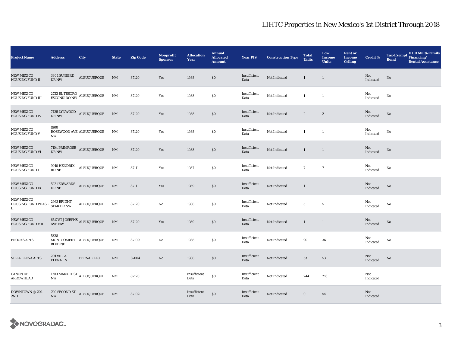| <b>Project Name</b>                            | <b>Address</b>                                                               | City                                                | <b>State</b>           | <b>Zip Code</b> | <b>Nonprofit</b><br><b>Sponsor</b> | <b>Allocation</b><br>Year | <b>Annual</b><br><b>Allocated</b><br><b>Amount</b> | <b>Year PIS</b>      | <b>Construction Type</b> | <b>Total</b><br><b>Units</b> | Low<br>Income<br><b>Units</b> | <b>Rent or</b><br><b>Income</b><br><b>Ceiling</b> | <b>Credit %</b>  | <b>HUD Multi-Family</b><br><b>Tax-Exempt</b><br>Financing/<br><b>Bond</b><br><b>Rental Assistance</b> |
|------------------------------------------------|------------------------------------------------------------------------------|-----------------------------------------------------|------------------------|-----------------|------------------------------------|---------------------------|----------------------------------------------------|----------------------|--------------------------|------------------------------|-------------------------------|---------------------------------------------------|------------------|-------------------------------------------------------------------------------------------------------|
| <b>NEW MEXICO</b><br><b>HOUSING FUND II</b>    | 3804 SUNBIRD<br>DR NW                                                        | <b>ALBUQUERQUE</b>                                  | $\mathbf{N}\mathbf{M}$ | 87120           | Yes                                | 1988                      | \$0\$                                              | Insufficient<br>Data | Not Indicated            | $\mathbf{1}$                 | $\overline{1}$                |                                                   | Not<br>Indicated | $\mathbf{N}\mathbf{o}$                                                                                |
| NEW MEXICO<br><b>HOUSING FUND III</b>          |                                                                              | $2723$ EL TESORO $\,$ ALBUQUERQUE $\,$ ESCONDIDO NW | NM                     | 87120           | Yes                                | 1988                      | $\$0$                                              | Insufficient<br>Data | Not Indicated            | $\mathbf{1}$                 | $\mathbf{1}$                  |                                                   | Not<br>Indicated | No                                                                                                    |
| <b>NEW MEXICO</b><br><b>HOUSING FUND IV</b>    | DR NW                                                                        | $7425$ LYNWOOD $\quad$ ALBUQUERQUE                  | N <sub>M</sub>         | 87120           | Yes                                | 1988                      | $\$0$                                              | Insufficient<br>Data | Not Indicated            | $\boldsymbol{2}$             | $\boldsymbol{2}$              |                                                   | Not<br>Indicated | No                                                                                                    |
| <b>NEW MEXICO</b><br>HOUSING FUND V            | 1900<br>NW                                                                   | ROSEWOOD AVE ALBUQUERQUE                            | NM                     | 87120           | Yes                                | 1988                      | \$0                                                | Insufficient<br>Data | Not Indicated            | $\mathbf{1}$                 | $\overline{1}$                |                                                   | Not<br>Indicated | No                                                                                                    |
| <b>NEW MEXICO</b><br><b>HOUSING FUND VI</b>    | $7104$ $\mbox{{\sc P}\rm{RIMROSE}}$ $\mbox{{\sc A}\rm{LBUQUERQUE}}$<br>DR NW |                                                     | N <sub>M</sub>         | 87120           | Yes                                | 1988                      | $\$0$                                              | Insufficient<br>Data | Not Indicated            | $\mathbf{1}$                 | $\overline{1}$                |                                                   | Not<br>Indicated | No                                                                                                    |
| <b>NEW MEXICO</b><br>HOUSING FUND I            | 9010 HENDRIX<br>RD NE                                                        | ALBUQUERQUE                                         | NM                     | 87111           | Yes                                | 1987                      | $\$0$                                              | Insufficient<br>Data | Not Indicated            | $\mathbf{7}$                 | $7\phantom{.0}$               |                                                   | Not<br>Indicated | $\mathbf{No}$                                                                                         |
| <b>NEW MEXICO</b><br>HOUSING FUND IX           | 5221 EDWARDS<br>$\rm DR\,NE$                                                 | ALBUQUERQUE                                         | NM                     | 87111           | Yes                                | 1989                      | \$0                                                | Insufficient<br>Data | Not Indicated            | $\mathbf{1}$                 | $\overline{1}$                |                                                   | Not<br>Indicated | No                                                                                                    |
| <b>NEW MEXICO</b><br>HOUSING FUND PHASE<br>П   | 2963 BRIGHT<br>STAR DR NW                                                    | ALBUQUERQUE                                         | NM                     | 87120           | No                                 | 1988                      | \$0                                                | Insufficient<br>Data | Not Indicated            | $5\phantom{.0}$              | $\overline{\mathbf{5}}$       |                                                   | Not<br>Indicated | No                                                                                                    |
| <b>NEW MEXICO</b><br><b>HOUSING FUND V III</b> | 6517 ST JOSEPHS $_{\rm ALBUQUERQUE}$<br><b>AVE NW</b>                        |                                                     | N <sub>M</sub>         | 87120           | Yes                                | 1989                      | \$0\$                                              | Insufficient<br>Data | Not Indicated            | $\mathbf{1}$                 | $\overline{1}$                |                                                   | Not<br>Indicated | $\mathbf{N}\mathbf{o}$                                                                                |
| <b>BROOKS APTS</b>                             | 5328<br><b>BLVD NE</b>                                                       | MONTGOMERY ALBUQUERQUE                              | NM                     | 87109           | No                                 | 1988                      | \$0\$                                              | Insufficient<br>Data | Not Indicated            | 90                           | ${\bf 36}$                    |                                                   | Not<br>Indicated | No                                                                                                    |
| <b>VILLA ELENA APTS</b>                        | 201 VILLA<br><b>ELENALN</b>                                                  | <b>BERNALILLO</b>                                   | $\mathbf{NM}$          | 87004           | No                                 | 1988                      | \$0                                                | Insufficient<br>Data | Not Indicated            | 53                           | 53                            |                                                   | Not<br>Indicated | $\rm No$                                                                                              |
| CANON DE<br><b>ARROWHEAD</b>                   | 1700 MARKET ST $_{\rm ALBUQUERQUE}$<br><b>NW</b>                             |                                                     | NM                     | 87120           |                                    | Insufficient<br>Data      | $\$0$                                              | Insufficient<br>Data | Not Indicated            | 244                          | 216                           |                                                   | Not<br>Indicated |                                                                                                       |
| DOWNTOWN @ 700-<br>2ND                         | <b>NW</b>                                                                    | 700 SECOND ST ALBUQUERQUE NM                        |                        | 87102           |                                    | Insufficient<br>Data      | $\$0$                                              | Insufficient<br>Data | Not Indicated            | $\bf{0}$                     | 54                            |                                                   | Not<br>Indicated |                                                                                                       |

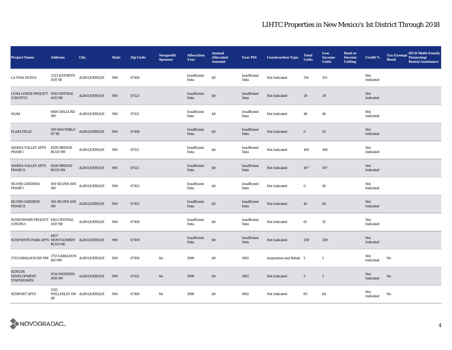| <b>Project Name</b>                                                                                   | <b>Address</b>                          | City                                | <b>State</b>   | <b>Zip Code</b> | Nonprofit<br><b>Sponsor</b> | <b>Allocation</b><br>Year | <b>Annual</b><br><b>Allocated</b><br><b>Amount</b> | <b>Year PIS</b>      | <b>Construction Type</b> | <b>Total</b><br><b>Units</b> | Low<br><b>Income</b><br><b>Units</b> | <b>Rent or</b><br><b>Income</b><br><b>Ceiling</b> | <b>Credit %</b>  | <b>HUD Multi-Family</b><br>Tax-Exempt Financing/<br><b>Bond</b><br><b>Rental Assistance</b> |
|-------------------------------------------------------------------------------------------------------|-----------------------------------------|-------------------------------------|----------------|-----------------|-----------------------------|---------------------------|----------------------------------------------------|----------------------|--------------------------|------------------------------|--------------------------------------|---------------------------------------------------|------------------|---------------------------------------------------------------------------------------------|
| LA VIDA NUEVA                                                                                         | 2323 KATHRYN<br>$\operatorname{AVE}$ SE | <b>ALBUQUERQUE</b>                  | NM             | 87106           |                             | Insufficient<br>Data      | $\$0$                                              | Insufficient<br>Data | Not Indicated            | 314                          | 313                                  |                                                   | Not<br>Indicated |                                                                                             |
| LUNA LODGE PROJECT 9119 CENTRAL<br>(UBUNTU)                                                           | $\operatorname{AVE}$ NE                 | ALBUQUERQUE                         | NM             | 87123           |                             | Insufficient<br>Data      | \$0                                                | Insufficient<br>Data | Not Indicated            | 29                           | 29                                   |                                                   | Not<br>Indicated |                                                                                             |
| NLH4                                                                                                  | $6600$ DELIA RD<br>SW                   | ALBUQUERQUE                         | NM             | 87121           |                             | Insufficient<br>Data      | \$0                                                | Insufficient<br>Data | Not Indicated            | 48                           | 48                                   |                                                   | Not<br>Indicated |                                                                                             |
| PLAZA FELIZ                                                                                           | ST SE                                   | $509$ SAN PABLO $\quad$ ALBUQUERQUE | N <sub>M</sub> | 87108           |                             | Insufficient<br>Data      | $\$0$                                              | Insufficient<br>Data | Not Indicated            | $\bf{0}$                     | 55                                   |                                                   | Not<br>Indicated |                                                                                             |
| SANDIA VALLEY APTS<br><b>PHASE I</b>                                                                  | 8200 BRIDGE<br><b>BLVD SW</b>           | ALBUQUERQUE                         | NM             | 87121           |                             | Insufficient<br>Data      | \$0                                                | Insufficient<br>Data | Not Indicated            | 108                          | 108                                  |                                                   | Not<br>Indicated |                                                                                             |
| SANDIA VALLEY APTS<br>PHASE II                                                                        | 8200 BRIDGE<br><b>BLVD SW</b>           | $\texttt{ALBUQUERQUE}$              | N <sub>M</sub> | 87121           |                             | Insufficient<br>Data      | $\$0$                                              | Insufficient<br>Data | Not Indicated            | 107                          | 107                                  |                                                   | Not<br>Indicated |                                                                                             |
| SILVER GARDENS<br>PHASE I                                                                             | SW                                      | 100 SILVER AVE ALBUQUERQUE          | NM             | 87102           |                             | Insufficient<br>Data      | \$0                                                | Insufficient<br>Data | Not Indicated            | $\bf{0}$                     | 56                                   |                                                   | Not<br>Indicated |                                                                                             |
| <b>SILVER GARDENS</b><br><b>PHASE II</b>                                                              | SW                                      | 100 SILVER AVE ALBUQUERQUE          | N <sub>M</sub> | 87102           |                             | Insufficient<br>Data      | $\$0$                                              | Insufficient<br>Data | Not Indicated            | 45                           | 44                                   |                                                   | Not<br>Indicated |                                                                                             |
| SUNDOWNER PROJECT 6101 CENTRAL ALBUQUERQUE<br>(UHURU)                                                 | AVE NE                                  |                                     | NM             | 87108           |                             | Insufficient<br>Data      | \$0                                                | Insufficient<br>Data | Not Indicated            | 61                           | 32                                   |                                                   | Not<br>Indicated |                                                                                             |
| SUNPOINTE PARK APTS MONTGOMERY ALBUQUERQUE                                                            | 4037<br><b>BLVD NE</b>                  |                                     | N <sub>M</sub> | 87109           |                             | Insufficient<br>Data      | \$0                                                | Insufficient<br>Data | Not Indicated            | 259                          | 259                                  |                                                   | Not<br>Indicated |                                                                                             |
| 1713 GABALDON RD NW $\begin{array}{cc} 1713 \text{ GABALOON} \\ \text{RD NW} \end{array}$ ALBUQUERQUE |                                         |                                     | NM             | 87104           | No                          | 1990                      | \$0                                                | 1992                 | Acquisition and Rehab 5  |                              | $5\phantom{.0}$                      |                                                   | Not<br>Indicated | No                                                                                          |
| SUNCOR<br><b>DEVELOPMENT</b><br><b>TOWNHOMES</b>                                                      | AVE SW                                  | 9714 WESTERN ALBUQUERQUE NM         |                | 87121           | $\rm No$                    | 1990                      | \$0                                                | 1992                 | Not Indicated            | $\boldsymbol{2}$             | $\boldsymbol{2}$                     |                                                   | Not<br>Indicated | No                                                                                          |
| <b>SUNPORT APTS</b>                                                                                   | 1325<br>SE                              | WELLESLEY DR ALBUQUERQUE            | NM             | 87106           | No                          | 1990                      | \$0                                                | 1992                 | Not Indicated            | 85                           | 84                                   |                                                   | Not<br>Indicated | No                                                                                          |

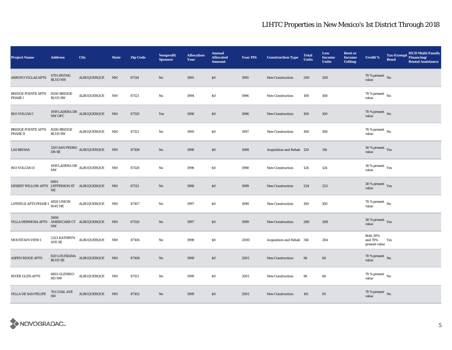| <b>Project Name</b>                            | <b>Address</b>                               | City                                             | <b>State</b>   | <b>Zip Code</b> | <b>Nonprofit</b><br><b>Sponsor</b> | <b>Allocation</b><br>Year | <b>Annual</b><br><b>Allocated</b><br><b>Amount</b> | <b>Year PIS</b> | <b>Construction Type</b>  | <b>Total</b><br><b>Units</b> | Low<br>Income<br><b>Units</b> | <b>Rent or</b><br><b>Income</b><br><b>Ceiling</b> | <b>Credit %</b>                             | <b>Tax-Exempt</b><br><b>Bond</b> | HUD Multi-Family<br>Financing/<br><b>Rental Assistance</b> |
|------------------------------------------------|----------------------------------------------|--------------------------------------------------|----------------|-----------------|------------------------------------|---------------------------|----------------------------------------------------|-----------------|---------------------------|------------------------------|-------------------------------|---------------------------------------------------|---------------------------------------------|----------------------------------|------------------------------------------------------------|
| ARROYO VILLAS APTS                             | 4701 IRVING<br><b>BLVD NW</b>                | ALBUQUERQUE                                      | N <sub>M</sub> | 87114           | No                                 | 1995                      | \$0                                                | 1995            | <b>New Construction</b>   | 200                          | 200                           |                                                   | $70\,\%$ present $\,$ No value              |                                  |                                                            |
| <b>BRIDGE POINTE APTS</b><br><b>PHASE I</b>    | 8200 BRIDGE<br><b>BLVD SW</b>                | ALBUQUERQUE                                      | NM             | 87121           | No                                 | 1994                      | \$0                                                | 1996            | <b>New Construction</b>   | 108                          | 108                           |                                                   | $70$ % present $\,$ No $\,$<br>value        |                                  |                                                            |
| RIO VOLCAN I                                   |                                              | 1919 LADERA DR<br>ALBUQUERQUE NM NW OFC          |                | 87120           | Yes                                | 1996                      | $\$0$                                              | 1996            | New Construction          | 100                          | 100                           |                                                   | $70\%$ present No<br>value                  |                                  |                                                            |
| <b>BRIDGE POINTE APTS</b><br>PHASE II          | 8200 BRIDGE<br><b>BLVD SW</b>                | ALBUQUERQUE                                      | NM             | 87121           | No                                 | 1995                      | \$0                                                | 1997            | <b>New Construction</b>   | 108                          | 108                           |                                                   | $70$ % present $\,$ No $\,$<br>value        |                                  |                                                            |
| <b>LAS BRISAS</b>                              | DR SE                                        | 1201 SAN PEDRO $\,$ ALBUQUERQUE                  | N <sub>M</sub> | 87108           | No                                 | 1996                      | \$0                                                | 1998            | Acquisition and Rehab 120 |                              | 118                           |                                                   | $30\,\%$ present $\,$ Yes value             |                                  |                                                            |
| RIO VOLCAN II                                  | <b>NW</b>                                    | 1919 LADERA DR $\,$ ALBUQUERQUE                  | NM             | 87120           | No                                 | 1996                      | \$0                                                | 1998            | <b>New Construction</b>   | 124                          | 124                           |                                                   | $30\,\%$ present $\,$ $\rm{Yes}$<br>value   |                                  |                                                            |
| DESERT WILLOW APTS                             | 8901<br>JEFFERSON ST ALBUQUERQUE<br>$\rm NE$ |                                                  | N <sub>M</sub> | 87113           | No                                 | 1998                      | \$0                                                | 1999            | <b>New Construction</b>   | 224                          | 223                           |                                                   | $30\,\%$ present $\,$ Yes value             |                                  |                                                            |
| LIFESYLE APTS PHASE I                          | <b>4920 UNION</b><br><b>WAY NE</b>           | ALBUQUERQUE                                      | NM             | 87107           | $\rm No$                           | 1997                      | $\$0$                                              | 1999            | <b>New Construction</b>   | 100                          | 100                           |                                                   | 70 % present $\hbox{~No}$<br>value          |                                  |                                                            |
| VILLA HERMOSA APTS AMERICARE CT ALBUQUERQUE NM | 2600<br><b>NW</b>                            |                                                  |                | 87120           | No                                 | 1997                      | \$0                                                | 1999            | <b>New Construction</b>   | 288                          | 288                           |                                                   | 30 % present Yes<br>value                   |                                  |                                                            |
| MOUNTAIN VIEW I                                | <b>AVE SE</b>                                | 2323 KATHRYN ALBUQUERQUE                         | NM             | 87106           | No                                 | 1998                      | \$0                                                | 2000            | Acquisition and Rehab 316 |                              | 284                           |                                                   | <b>Both 30%</b><br>and 70%<br>present value | Yes                              |                                                            |
| <b>ASPEN RIDGE APTS</b>                        | <b>BLVD SE</b>                               | $820 \, {\rm LOUISIANA} \quad {\rm ALBUQUERQUE}$ | N <sub>M</sub> | 87108           | No                                 | 1999                      | \$0                                                | 2001            | New Construction          | 96                           | 60                            |                                                   | 70 % present $\,$ No $\,$<br>value          |                                  |                                                            |
| <b>RIVER GLEN APTS</b>                         | 6801 GLENRIO<br>RD NW                        | ALBUQUERQUE                                      | NM             | 87121           | No                                 | 1999                      | $\$0$                                              | 2001            | <b>New Construction</b>   | 96                           | 60                            |                                                   | 70 % present $\,$ No $\,$<br>value          |                                  |                                                            |
| VILLA DE SAN FELIPE                            | 701 COAL AVE<br>SW                           | ALBUQUERQUE NM                                   |                | 87102           | $\mathbf{No}$                      | 1999                      | \$0                                                | 2001            | New Construction          | 161                          | 65                            |                                                   | $70\,\%$ present $\,$ No value              |                                  |                                                            |

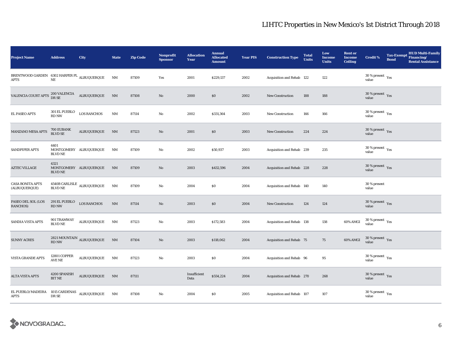| <b>Project Name</b>                                                                                                                               | <b>Address</b>                | City                                       | <b>State</b>           | <b>Zip Code</b> | <b>Nonprofit</b><br><b>Sponsor</b> | <b>Allocation</b><br>Year | <b>Annual</b><br><b>Allocated</b><br><b>Amount</b> | <b>Year PIS</b> | <b>Construction Type</b>  | <b>Total</b><br><b>Units</b> | Low<br><b>Income</b><br><b>Units</b> | <b>Rent or</b><br><b>Income</b><br><b>Ceiling</b> | <b>Credit %</b>                                       | <b>Bond</b> | <b>HUD Multi-Family</b><br>Tax-Exempt Financing/<br><b>Rental Assistance</b> |
|---------------------------------------------------------------------------------------------------------------------------------------------------|-------------------------------|--------------------------------------------|------------------------|-----------------|------------------------------------|---------------------------|----------------------------------------------------|-----------------|---------------------------|------------------------------|--------------------------------------|---------------------------------------------------|-------------------------------------------------------|-------------|------------------------------------------------------------------------------|
| BRENTWOOD GARDEN 6302 HARPER PL ALBUQUERQUE<br>APTS                                                                                               | $\rm{NE}$                     |                                            | NM                     | 87109           | Yes                                | 2001                      | \$229,137                                          | 2002            | Acquisition and Rehab 122 |                              | 122                                  |                                                   | $30$ % present $\rm \gamma_{\rm PS}$<br>value         |             |                                                                              |
| $\rm{VAL} \, \rm{ENCIA} \,\, \rm{COURT} \,\, \rm{APTS} \,\, \, \frac{200 \,\, \rm{VALENCIA}}{\rm{DR} \,\, \rm{SE}} \quad \  \  {\rm ALBUQUERQUE}$ |                               |                                            | NM                     | 87108           | $\mathbf{No}$                      | 2000                      | $\$0$                                              | 2002            | New Construction          | 188                          | 188                                  |                                                   | $30\,\%$ present $\,$ $\rm Yes$<br>value              |             |                                                                              |
| EL PASEO APTS                                                                                                                                     | 301 EL PUEBLO<br>RD NW        | <b>LOS RANCHOS</b>                         | $\rm{NM}$              | 87114           | No                                 | 2002                      | \$331,364                                          | 2003            | <b>New Construction</b>   | 166                          | 166                                  |                                                   | 30 % present $\rm\thinspace\gamma_{\rm e s}$<br>value |             |                                                                              |
| MANZANO MESA APTS                                                                                                                                 | 700 EUBANK<br>BLVD SE         | ALBUQUERQUE                                | <b>NM</b>              | 87123           | $\mathbf{No}$                      | 2001                      | \$0                                                | 2003            | <b>New Construction</b>   | 224                          | 224                                  |                                                   | 30 % present $\gamma_{\rm{es}}$<br>value              |             |                                                                              |
| SANDPIPER APTS                                                                                                                                    | 4401<br><b>BLVD NE</b>        | MONTGOMERY ALBUQUERQUE                     | NM                     | 87109           | $\mathbf{No}$                      | 2002                      | \$50,937                                           | 2003            | Acquisition and Rehab 239 |                              | 235                                  |                                                   | $30$ % present $\rm \gamma_{\rm PS}$<br>value         |             |                                                                              |
| <b>AZTEC VILLAGE</b>                                                                                                                              | 4321<br><b>BLVD NE</b>        | MONTGOMERY ALBUQUERQUE                     | NM                     | 87109           | No                                 | 2003                      | \$432,596                                          | 2004            | Acquisition and Rehab 228 |                              | 228                                  |                                                   | 30 % present $\gamma_{\rm{es}}$<br>value              |             |                                                                              |
| <b>CASA BONITA APTS</b><br>(ALBUQUERQUE)                                                                                                          | <b>BLVD NE</b>                | $4540\mathrm{B}$ CARLISLE $\,$ ALBUQUERQUE | NM                     | 87109           | No                                 | 2004                      | \$0                                                | 2004            | Acquisition and Rehab 140 |                              | 140                                  |                                                   | 30 % present<br>value                                 |             |                                                                              |
| PASEO DEL SOL (LOS<br>RANCHOS)                                                                                                                    | 291 EL PUEBLO<br><b>RD NW</b> | <b>LOS RANCHOS</b>                         | $\mathrm{NM}$          | 87114           | No                                 | 2003                      | \$0                                                | 2004            | <b>New Construction</b>   | 124                          | 124                                  |                                                   | 30 % present $\gamma_{\rm e s}$<br>value              |             |                                                                              |
| SANDIA VISTA APTS                                                                                                                                 | 901 TRAMWAY<br><b>BLVD NE</b> | <b>ALBUQUERQUE</b>                         | NM                     | 87123           | No                                 | 2003                      | \$172,583                                          | 2004            | Acquisition and Rehab 138 |                              | 138                                  | 60% AMGI                                          | $30\,\%$ present $\,$ Yes value                       |             |                                                                              |
| <b>SUNNY ACRES</b>                                                                                                                                | <b>RD NW</b>                  | 2821 MOUNTAIN $_{\mbox{ALBUQUERQUE}}$      | $\mathbf{N}\mathbf{M}$ | 87104           | $\mathbf{No}$                      | 2003                      | \$118,062                                          | 2004            | Acquisition and Rehab 75  |                              | 75                                   | 60% AMGI                                          | $30\,\%$ present $\,$ Yes<br>value                    |             |                                                                              |
| <b>VISTA GRANDE APTS</b>                                                                                                                          | <b>12801 COPPER</b><br>AVE NE | ALBUQUERQUE                                | NM                     | 87123           | No                                 | 2003                      | \$0                                                | 2004            | Acquisition and Rehab 96  |                              | 95                                   |                                                   | 30 % present $\rm\thinspace\gamma_{\rm e s}$<br>value |             |                                                                              |
| <b>ALTA VISTA APTS</b>                                                                                                                            | 4200 SPANISH<br><b>BIT NE</b> | ALBUQUERQUE                                | NM                     | 87111           |                                    | Insufficient<br>Data      | \$554,224                                          | 2004            | Acquisition and Rehab 270 |                              | 268                                  |                                                   | $30$ % present $\,$ $\rm Yes$<br>value                |             |                                                                              |
| EL PUEBLO/MADEIRA<br>APTS                                                                                                                         | 1015 CARDENAS<br>DR SE        | ALBUQUERQUE                                | NM                     | 87108           | No                                 | 2004                      | \$0                                                | 2005            | Acquisition and Rehab 107 |                              | 107                                  |                                                   | $30$ % present $\,$ $\rm Yes$<br>value                |             |                                                                              |